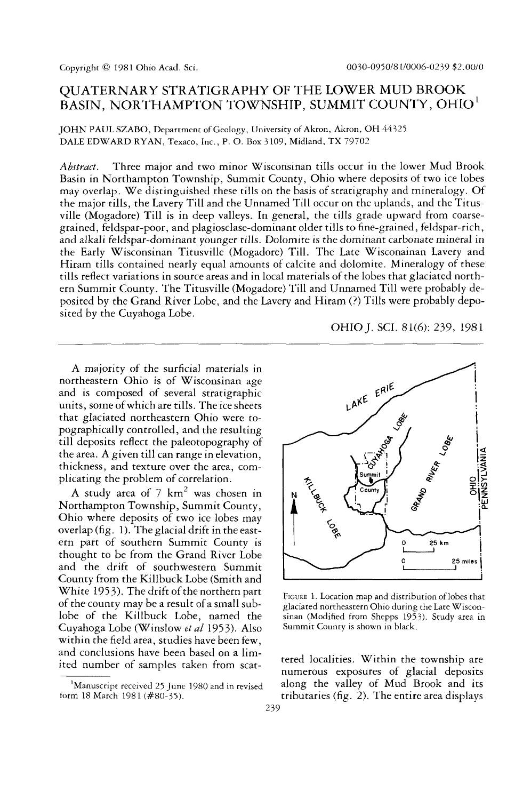# QUATERNARY STRATIGRAPHY OF THE LOWER MUD BROOK BASIN, NORTHAMPTON TOWNSHIP, SUMMIT COUNTY, OHIO<sup>1</sup>

JOHN PAUL SZABO, Department of Geology, University of Akron, Akron, OH 44325 DALE EDWARD RYAN, Texaco, Inc., P. O. Box 3109, Midland, TX 79702

*Abstract.* Three major and two minor Wisconsinan tills occur in the lower Mud Brook Basin in Northampton Township, Summit County, Ohio where deposits of two ice lobes may overlap. We distinguished these tills on the basis of stratigraphy and mineralogy. Of the major tills, the Lavery Till and the Unnamed Till occur on the uplands, and the Titusville (Mogadore) Till is in deep valleys. In general, the tills grade upward from coarsegrained, feldspar-poor, and plagiosclase-dominant older tills to fine-grained, feldspar-rich, and alkali feldspar-dominant younger tills. Dolomite is the dominant carbonate mineral in the Early Wisconsinan Titusville (Mogadore) Till. The Late Wisconainan Lavery and Hiram tills contained nearly equal amounts of calcite and dolomite. Mineralogy of these tills reflect variations in source areas and in local materials of the lobes that glaciated northern Summit County. The Titusville (Mogadore) Till and Unnamed Till were probably deposited by the Grand River Lobe, and the Lavery and Hiram (?) Tills were probably deposited by the Cuyahoga Lobe.



A majority of the surficial materials in northeastern Ohio is of Wisconsinan age and is composed of several stratigraphic units, some of which are tills. The ice sheets that glaciated northeastern Ohio were topographically controlled, and the resulting till deposits reflect the paleotopography of the area. A given till can range in elevation, thickness, and texture over the area, complicating the problem of correlation.

A study area of 7  $\text{km}^2$  was chosen in Northampton Township, Summit County, Ohio where deposits of two ice lobes may overlap (fig. 1). The glacial drift in the eastern part of southern Summit County is thought to be from the Grand River Lobe and the drift of southwestern Summit County from the Killbuck Lobe (Smith and White 1953). The drift of the northern part of the county may be a result of a small sublobe of the Killbuck Lobe, named the Cuyahoga Lobe (Winslow *et al* 1953). Also within the field area, studies have been few, and conclusions have been based on a limited number of samples taken from scat-



FIGURE 1. Location map and distribution of lobes that glaciated northeastern Ohio during the Late Wisconsinan (Modified from Shepps 1953). Study area in Summit County is shown in black.

tered localities. Within the township are numerous exposures of glacial deposits along the valley of Mud Brook and its tributaries (fig. 2). The entire area displays

<sup>&</sup>lt;sup>1</sup>Manuscript received 25 June 1980 and in revised form 18 March 1981 (#80-35).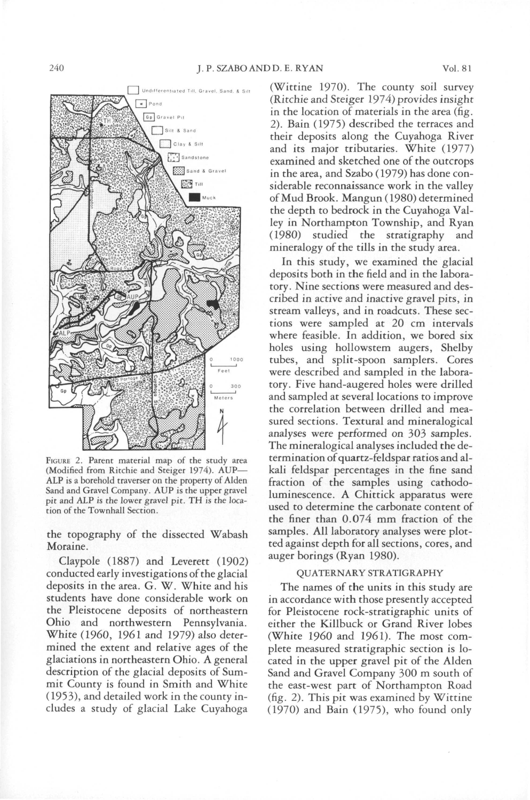

FIGURE 2. Parent material map of the study area (Modified from Ritchie and Steiger 1974). AUP— ALP is a borehold traverser on the property of Alden Sand and Gravel Company. AUP is the upper gravel pit and ALP is the lower gravel pit. TH is the location of the Townhall Section.

the topography of the dissected Wabash Moraine.

Claypole (1887) and Leverett (1902) conducted early investigations of the glacial deposits in the area. G. W. White and his students have done considerable work on the Pleistocene deposits of northeastern Ohio and northwestern Pennsylvania. White (I960, 1961 and 1979) also determined the extent and relative ages of the glaciations in northeastern Ohio. A general description of the glacial deposits of Summit County is found in Smith and White (1953), and detailed work in the county includes a study of glacial Lake Cuyahoga

(Wittine 1970). The county soil survey (Ritchie and Steiger 1974) provides insight in the location of materials in the area (fig. 2). Bain (1975) described the terraces and their deposits along the Cuyahoga River and its major tributaries. White (1977) examined and sketched one of the outcrops in the area, and Szabo (1979) has done considerable reconnaissance work in the valley of Mud Brook. Mangun (1980) determined the depth to bedrock in the Cuyahoga Valley in Northampton Township, and Ryan (1980) studied the stratigraphy and mineralogy of the tills in the study area.

In this study, we examined the glacial deposits both in the field and in the laboratory. Nine sections were measured and described in active and inactive gravel pits, in stream valleys, and in roadcuts. These sections were sampled at 20 cm intervals where feasible. In addition, we bored six holes using hollowstem augers, Shelby tubes, and split-spoon samplers. Cores were described and sampled in the laboratory. Five hand-augered holes were drilled and sampled at several locations to improve the correlation between drilled and measured sections. Textural and mineralogical analyses were performed on 303 samples. The mineralogical analyses included the determination of quartz-feldspar ratios and alkali feldspar percentages in the fine sand fraction of the samples using cathodoluminescence. A Chittick apparatus were used to determine the carbonate content of the finer than 0.074 mm fraction of the samples. All laboratory analyses were plotted against depth for all sections, cores, and auger borings (Ryan 1980).

### QUATERNARY STRATIGRAPHY

The names of the units in this study are in accordance with those presently accepted for Pleistocene rock-stratigraphic units of either the Killbuck or Grand River lobes (White I960 and 1961). The most complete measured stratigraphic section is located in the upper gravel pit of the Alden Sand and Gravel Company 300 m south of the east-west part of Northampton Road (fig. 2). This pit was examined by Wittine (1970) and Bain (1975), who found only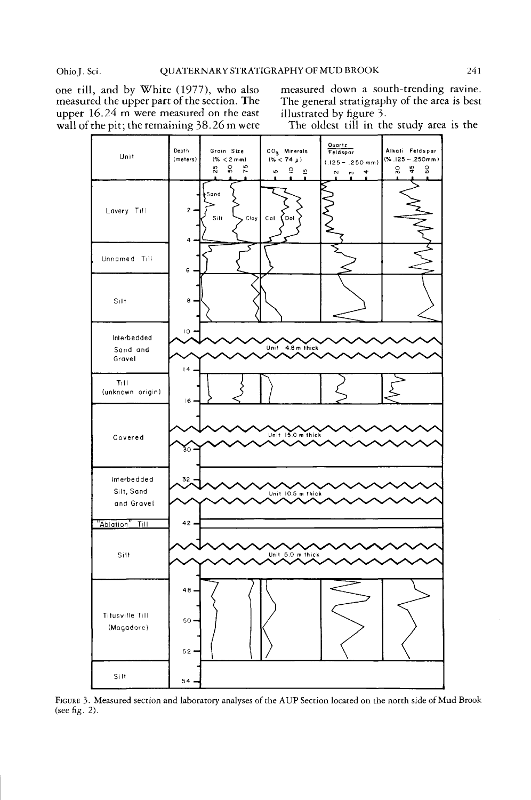measured the upper part of the section. The The general stratigraphy upper 16.24 m were measured on the east illustrated by figure 3. upper  $16.24$  m were measured on the east illustrated by figure 3.<br>wall of the pit; the remaining  $38.26$  m were The oldest till in the study area is the wall of the pit; the remaining 38.26 m were

one till, and by White (1977), who also measured down a south-trending ravine.<br>measured the upper part of the section. The The general stratigraphy of the area is best



FIGURE 3. Measured section and laboratory analyses of the AUP Section located on the north side of Mud Brook (see fig. 2).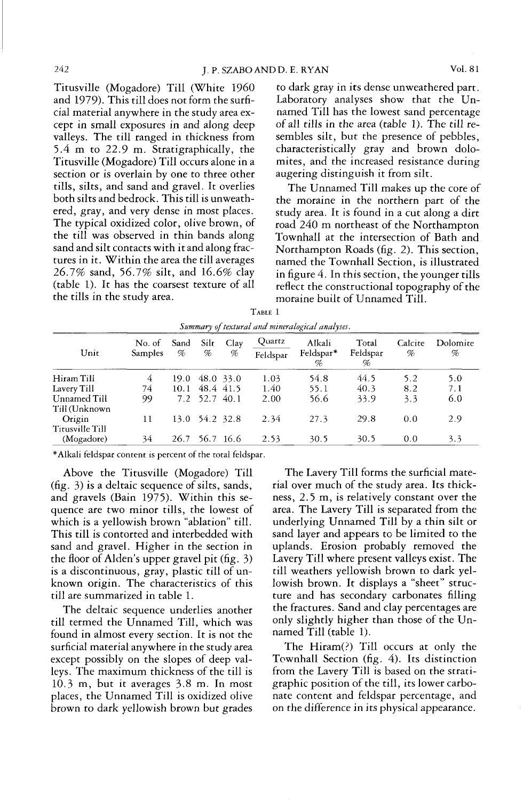Titusville (Mogadore) Till (White I960 and 1979). This till does not form the surficial material anywhere in the study area except in small exposures in and along deep valleys. The till ranged in thickness from 5.4 m to 22.9 m. Stratigraphically, the Titusville (Mogadore) Till occurs alone in a section or is overlain by one to three other tills, silts, and sand and gravel. It overlies both silts and bedrock. This till is unweathered, gray, and very dense in most places. The typical oxidized color, olive brown, of the till was observed in thin bands along sand and silt contacts with it and along fractures in it. Within the area the till averages 26.7% sand, 56.7% silt, and 16.6% clay (table 1). It has the coarsest texture of all the tills in the study area.

to dark gray in its dense unweathered part. Laboratory analyses show that the Unnamed Till has the lowest sand percentage of all tills in the area (table 1). The till resembles silt, but the presence of pebbles, characteristically gray and brown dolomites, and the increased resistance during augering distinguish it from silt.

The Unnamed Till makes up the core of the moraine in the northern part of the study area. It is found in a cut along a dirt road 240 m northeast of the Northampton Townhall at the intersection of Bath and Northampton Roads (fig. 2). This section, named the Townhall Section, is illustrated in figure 4. In this section, the younger tills reflect the constructional topography of the moraine built of Unnamed Till.

| Summary of textural and mineralogical analyses. |                          |           |                |           |                    |                          |                        |              |               |
|-------------------------------------------------|--------------------------|-----------|----------------|-----------|--------------------|--------------------------|------------------------|--------------|---------------|
| Unit                                            | No. of<br><b>Samples</b> | Sand<br>% | Silt<br>%      | Clay<br>% | Quartz<br>Feldspar | Alkali<br>Feldspar*<br>% | Total<br>Feldspar<br>% | Calcite<br>% | Dolomire<br>% |
| Hiram Till                                      | 4                        | 19.0      |                | 48.0 33.0 | 1.03               | 54.8                     | 44.5                   | 5.2          | 5.0           |
| Lavery Till                                     | 74                       | 10.1      | 48.4 41.5      |           | 1.40               | 55.1                     | 40.3                   | 8.2          | 7.1           |
| Unnamed Till<br>Till (Unknown                   | 99                       |           | 7.2 52.7 40.1  |           | 2.00               | 56.6                     | 33.9                   | 3,3          | 6.0           |
| Origin<br>Titusville Till                       | 11                       |           | 13.0 54.2 32.8 |           | 2.34               | 27.3                     | 29.8                   | 0.0          | 2.9           |
| (Mogadore)                                      | 34                       | 26.7      |                | 56.7 16.6 | 2.53               | 30.5                     | 30.5                   | 0.0          | 3.3           |

| TABLE 1                                         |  |  |  |  |  |  |  |  |  |
|-------------------------------------------------|--|--|--|--|--|--|--|--|--|
| Summary of textural and mineralogical analyses. |  |  |  |  |  |  |  |  |  |

\* Alkali feldspar content is percent of the total feldspar.

Above the Titusville (Mogadore) Till (fig. 3) is a deltaic sequence of silts, sands, and gravels (Bain 1975). Within this sequence are two minor tills, the lowest of which is a yellowish brown "ablation" till. This till is contorted and interbedded with sand and gravel. Higher in the section in the floor of Alden's upper gravel pit (fig. 3) is a discontinuous, gray, plastic till of unknown origin. The characteristics of this till are summarized in table 1.

The deltaic sequence underlies another till termed the Unnamed Till, which was found in almost every section. It is not the surficial material anywhere in the study area except possibly on the slopes of deep valleys. The maximum thickness of the till is 10.3 m, but it averages 3-8 m. In most places, the Unnamed Till is oxidized olive brown to dark yellowish brown but grades

The Lavery Till forms the surficial material over much of the study area. Its thickness, 2.5 m, is relatively constant over the area. The Lavery Till is separated from the underlying Unnamed Till by a thin silt or sand layer and appears to be limited to the uplands. Erosion probably removed the Lavery Till where present valleys exist. The till weathers yellowish brown to dark yellowish brown. It displays a "sheet" structure and has secondary carbonates filling the fractures. Sand and clay percentages are only slightly higher than those of the Unnamed Till (table 1).

The Hiram(?) Till occurs at only the Townhall Section (fig. 4). Its distinction from the Lavery Till is based on the stratigraphic position of the till, its lower carbonate content and feldspar percentage, and on the difference in its physical appearance.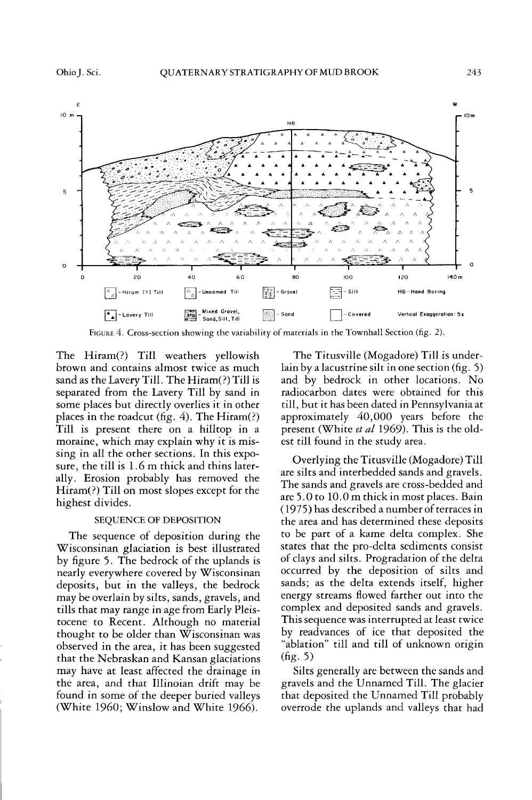

FIGURE 4. Cross-section showing the variability of materials in the Townhall Section (fig. 2).

The Hiram(?) Till weathers yellowish brown and contains almost twice as much sand as the Lavery Till. The Hiram(?) Till is separated from the Lavery Till by sand in some places but directly overlies it in other places in the roadcut (fig. 4). The Hiram(?) Till is present there on a hilltop in a moraine, which may explain why it is missing in all the other sections. In this exposure, the till is 1.6 m thick and thins laterally. Erosion probably has removed the Hiram(?) Till on most slopes except for the highest divides.

#### SEQUENCE OF DEPOSITION

The sequence of deposition during the Wisconsinan glaciation is best illustrated by figure 5. The bedrock of the uplands is nearly everywhere covered by Wisconsinan deposits, but in the valleys, the bedrock may be overlain by silts, sands, gravels, and tills that may range in age from Early Pleistocene to Recent. Although no material thought to be older than Wisconsinan was observed in the area, it has been suggested that the Nebraskan and Kansan glaciations may have at least affected the drainage in the area, and that Illinoian drift may be found in some of the deeper buried valleys (White I960; Winslow and White 1966).

The Titusville (Mogadore) Till is underlain by a lacustrine silt in one section (fig. 5) and by bedrock in other locations. No radiocarbon dates were obtained for this till, but it has been dated in Pennsylvania at approximately 40,000 years before the present (White *et al* 1969). This is the oldest till found in the study area.

Overlying the Titusville (Mogadore) Till are silts and interbedded sands and gravels. The sands and gravels are cross-bedded and are 5.0 to 10.0 m thick in most places. Bain (1975) has described a number of terraces in the area and has determined these deposits to be part of a kame delta complex. She states that the pro-delta sediments consist of clays and silts. Progradation of the delta occurred by the deposition of silts and sands; as the delta extends itself, higher energy streams flowed farther out into the complex and deposited sands and gravels. This sequence was interrupted at least twice by readvances of ice that deposited the "ablation" till and till of unknown origin (fig. 5)

Silts generally are between the sands and gravels and the Unnamed Till. The glacier that deposited the Unnamed Till probably overrode the uplands and valleys that had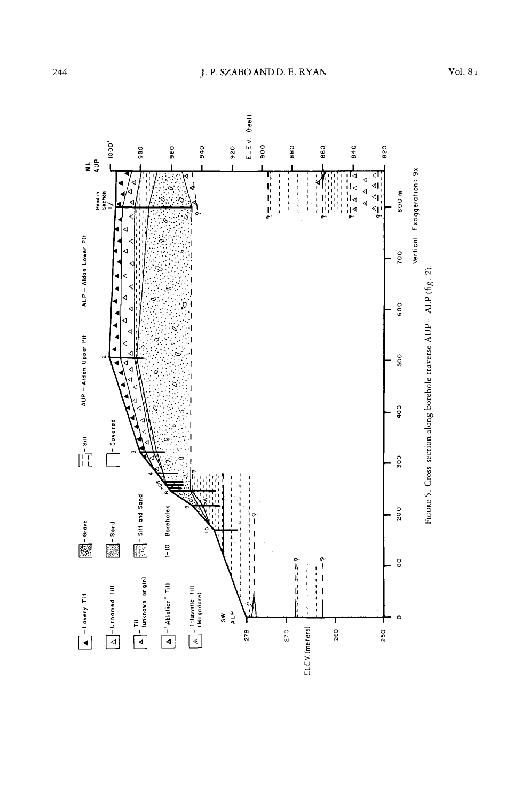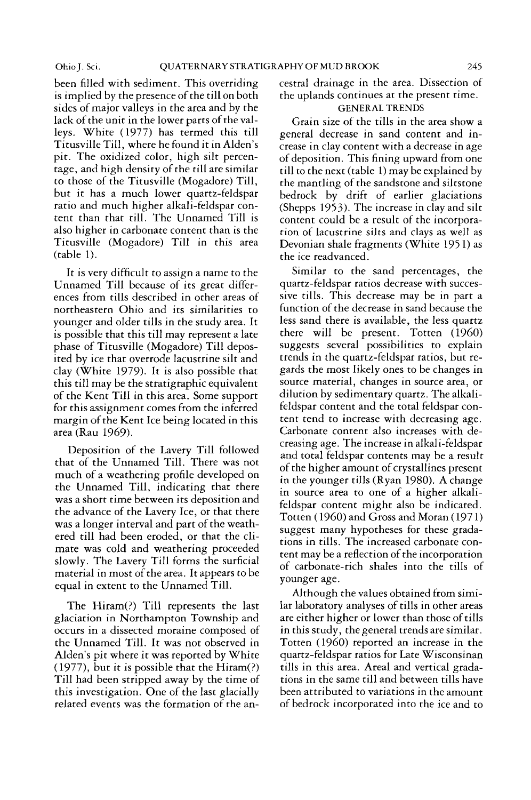been filled with sediment. This overriding is implied by the presence of the till on both sides of major valleys in the area and by the lack of the unit in the lower parts of the valleys. White (1977) has termed this till Titusville Till, where he found it in Alden's pit. The oxidized color, high silt percentage, and high density of the till are similar to those of the Titusville (Mogadore) Till, but it has a much lower quartz-feldspar ratio and much higher alkali-feldspar content than that till. The Unnamed Till is also higher in carbonate content than is the Titusville (Mogadore) Till in this area (table 1).

It is very difficult to assign a name to the Unnamed Till because of its great differences from tills described in other areas of northeastern Ohio and its similarities to younger and older tills in the study area. It is possible that this till may represent a late phase of Titusville (Mogadore) Till deposited by ice that overrode lacustrine silt and clay (White 1979). It is also possible that this till may be the stratigraphic equivalent of the Kent Till in this area. Some support for this assignment comes from the inferred margin of the Kent Ice being located in this area(Rau 1969).

Deposition of the Lavery Till followed that of the Unnamed Till. There was not much of a weathering profile developed on the Unnamed Till, indicating that there was a short time between its deposition and the advance of the Lavery Ice, or that there was a longer interval and part of the weathered till had been eroded, or that the climate was cold and weathering proceeded slowly. The Lavery Till forms the surficial material in most of the area. It appears to be equal in extent to the Unnamed Till.

The Hiram(?) Till represents the last glaciation in Northampton Township and occurs in a dissected moraine composed of the Unnamed Till. It was not observed in Alden's pit where it was reported by White (1977), but it is possible that the Hiram(?) Till had been stripped away by the time of this investigation. One of the last glacially related events was the formation of the ancestral drainage in the area. Dissection of the uplands continues at the present time.

## GENERAL TRENDS

Grain size of the tills in the area show a general decrease in sand content and increase in clay content with a decrease in age of deposition. This fining upward from one till to the next (table 1) may be explained by the mantling of the sandstone and siltstone bedrock by drift of earlier glaciations (Shepps 1953). The increase in clay and silt content could be a result of the incorporation of lacustrine silts and clays as well as Devonian shale fragments (White 195 1) as the ice readvanced.

Similar to the sand percentages, the quartz-feldspar ratios decrease with successive tills. This decrease may be in part a function of the decrease in sand because the less sand there is available, the less quartz there will be present. Totten (I960) suggests several possibilities to explain trends in the quartz-feldspar ratios, but regards the most likely ones to be changes in source material, changes in source area, or dilution by sedimentary quartz. The alkalifeldspar content and the total feldspar content tend to increase with decreasing age. Carbonate content also increases with decreasing age. The increase in alkali-feldspar and total feldspar contents may be a result of the higher amount of crystallines present in the younger tills (Ryan 1980). A change in source area to one of a higher alkalifeldspar content might also be indicated. Totten (I960) and Gross and Moran (1971) suggest many hypotheses for these gradations in tills. The increased carbonate content may be a reflection of the incorporation of carbonate-rich shales into the tills of younger age.

Although the values obtained from similar laboratory analyses of tills in other areas are either higher or lower than those of tills in this study, the general trends are similar. Totten (I960) reported an increase in the quartz-feldspar ratios for Late Wisconsinan tills in this area. Areal and vertical gradations in the same till and between tills have been attributed to variations in the amount of bedrock incorporated into the ice and to